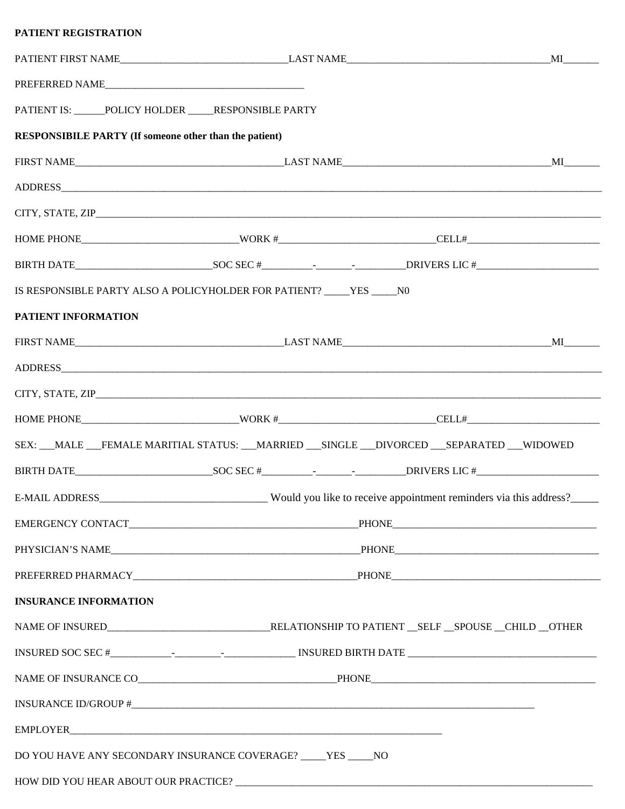| PATIENT IS: _____POLICY HOLDER ____RESPONSIBLE PARTY          |                                                                        |                                                                                           |  |
|---------------------------------------------------------------|------------------------------------------------------------------------|-------------------------------------------------------------------------------------------|--|
| <b>RESPONSIBILE PARTY (If someone other than the patient)</b> |                                                                        |                                                                                           |  |
|                                                               |                                                                        |                                                                                           |  |
|                                                               |                                                                        |                                                                                           |  |
|                                                               |                                                                        |                                                                                           |  |
|                                                               |                                                                        |                                                                                           |  |
|                                                               |                                                                        |                                                                                           |  |
|                                                               | IS RESPONSIBLE PARTY ALSO A POLICYHOLDER FOR PATIENT? _____YES _____N0 |                                                                                           |  |
| PATIENT INFORMATION                                           |                                                                        |                                                                                           |  |
|                                                               |                                                                        |                                                                                           |  |
|                                                               |                                                                        |                                                                                           |  |
|                                                               |                                                                        |                                                                                           |  |
|                                                               |                                                                        |                                                                                           |  |
|                                                               |                                                                        | SEX: __MALE __FEMALE MARITIAL STATUS: __MARRIED __SINGLE __DIVORCED __SEPARATED __WIDOWED |  |
|                                                               |                                                                        |                                                                                           |  |
|                                                               |                                                                        |                                                                                           |  |
|                                                               |                                                                        |                                                                                           |  |
|                                                               |                                                                        |                                                                                           |  |
|                                                               |                                                                        |                                                                                           |  |
| <b>INSURANCE INFORMATION</b>                                  |                                                                        |                                                                                           |  |
|                                                               |                                                                        |                                                                                           |  |
|                                                               |                                                                        |                                                                                           |  |
|                                                               |                                                                        |                                                                                           |  |
|                                                               |                                                                        |                                                                                           |  |
|                                                               |                                                                        |                                                                                           |  |
|                                                               | DO YOU HAVE ANY SECONDARY INSURANCE COVERAGE? ____YES _____NO          |                                                                                           |  |
|                                                               |                                                                        |                                                                                           |  |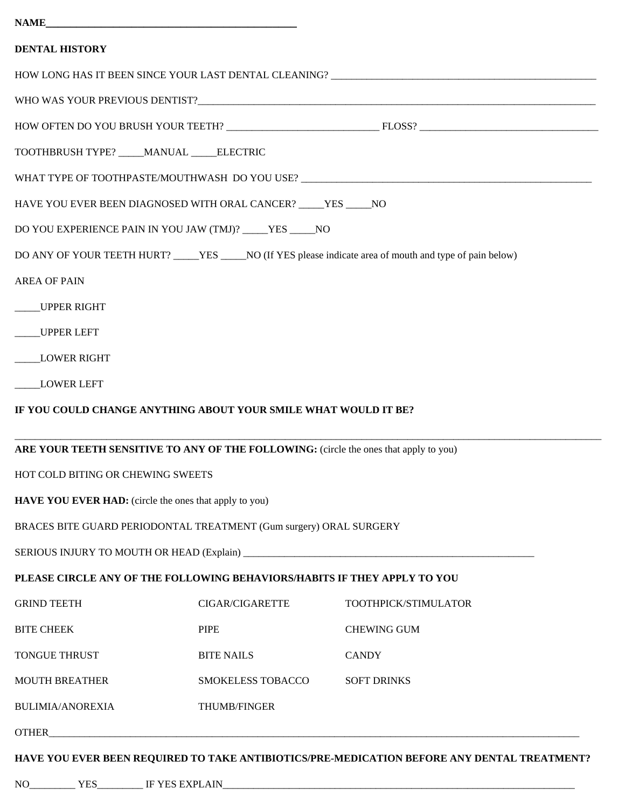| <b>NAME</b> |  |  |
|-------------|--|--|
|             |  |  |

| <b>DENTAL HISTORY</b>                                                                       |                                                             |                                                                                                           |  |  |  |  |
|---------------------------------------------------------------------------------------------|-------------------------------------------------------------|-----------------------------------------------------------------------------------------------------------|--|--|--|--|
|                                                                                             |                                                             |                                                                                                           |  |  |  |  |
|                                                                                             |                                                             |                                                                                                           |  |  |  |  |
|                                                                                             |                                                             |                                                                                                           |  |  |  |  |
| TOOTHBRUSH TYPE? ____ MANUAL _____ ELECTRIC                                                 |                                                             |                                                                                                           |  |  |  |  |
| WHAT TYPE OF TOOTHPASTE/MOUTHWASH DO YOU USE? ___________________________________           |                                                             |                                                                                                           |  |  |  |  |
| HAVE YOU EVER BEEN DIAGNOSED WITH ORAL CANCER? _____YES _____NO                             |                                                             |                                                                                                           |  |  |  |  |
|                                                                                             | DO YOU EXPERIENCE PAIN IN YOU JAW (TMJ)? _____ YES _____ NO |                                                                                                           |  |  |  |  |
|                                                                                             |                                                             | DO ANY OF YOUR TEETH HURT? ____ YES ____ NO (If YES please indicate area of mouth and type of pain below) |  |  |  |  |
| <b>AREA OF PAIN</b>                                                                         |                                                             |                                                                                                           |  |  |  |  |
| _____UPPER RIGHT                                                                            |                                                             |                                                                                                           |  |  |  |  |
| UPPER LEFT                                                                                  |                                                             |                                                                                                           |  |  |  |  |
| LOWER RIGHT                                                                                 |                                                             |                                                                                                           |  |  |  |  |
| <b>LOWER LEFT</b>                                                                           |                                                             |                                                                                                           |  |  |  |  |
| IF YOU COULD CHANGE ANYTHING ABOUT YOUR SMILE WHAT WOULD IT BE?                             |                                                             |                                                                                                           |  |  |  |  |
|                                                                                             |                                                             |                                                                                                           |  |  |  |  |
| ARE YOUR TEETH SENSITIVE TO ANY OF THE FOLLOWING: (circle the ones that apply to you)       |                                                             |                                                                                                           |  |  |  |  |
| HOT COLD BITING OR CHEWING SWEETS                                                           |                                                             |                                                                                                           |  |  |  |  |
| <b>HAVE YOU EVER HAD:</b> (circle the ones that apply to you)                               |                                                             |                                                                                                           |  |  |  |  |
| BRACES BITE GUARD PERIODONTAL TREATMENT (Gum surgery) ORAL SURGERY                          |                                                             |                                                                                                           |  |  |  |  |
|                                                                                             |                                                             |                                                                                                           |  |  |  |  |
| PLEASE CIRCLE ANY OF THE FOLLOWING BEHAVIORS/HABITS IF THEY APPLY TO YOU                    |                                                             |                                                                                                           |  |  |  |  |
| <b>GRIND TEETH</b>                                                                          | <b>CIGAR/CIGARETTE</b>                                      | TOOTHPICK/STIMULATOR                                                                                      |  |  |  |  |
| <b>BITE CHEEK</b>                                                                           | <b>PIPE</b>                                                 | <b>CHEWING GUM</b>                                                                                        |  |  |  |  |
| <b>TONGUE THRUST</b>                                                                        | <b>BITE NAILS</b>                                           | <b>CANDY</b>                                                                                              |  |  |  |  |
| <b>MOUTH BREATHER</b>                                                                       | SMOKELESS TOBACCO                                           | <b>SOFT DRINKS</b>                                                                                        |  |  |  |  |
| <b>BULIMIA/ANOREXIA</b>                                                                     | THUMB/FINGER                                                |                                                                                                           |  |  |  |  |
|                                                                                             |                                                             |                                                                                                           |  |  |  |  |
| HAVE YOU EVER BEEN REQUIRED TO TAKE ANTIBIOTICS/PRE-MEDICATION BEFORE ANY DENTAL TREATMENT? |                                                             |                                                                                                           |  |  |  |  |
|                                                                                             |                                                             |                                                                                                           |  |  |  |  |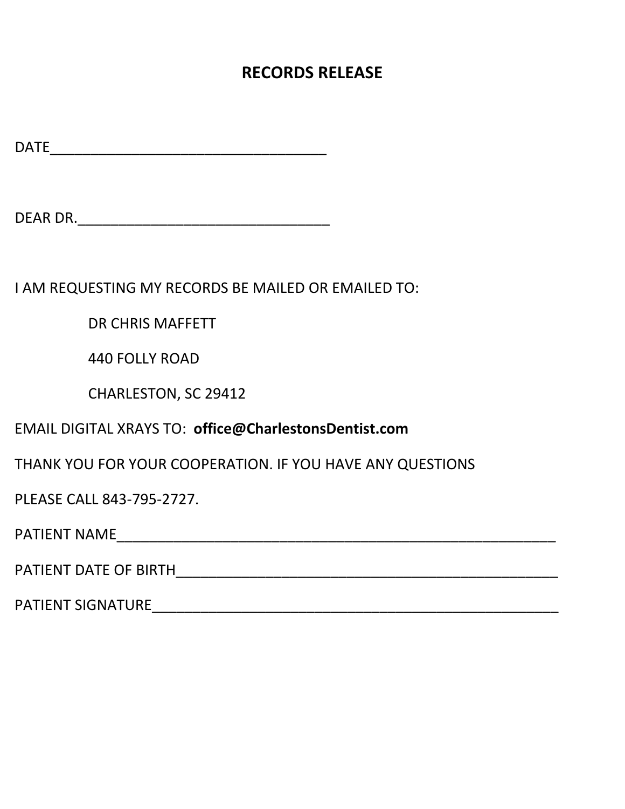## **RECORDS RELEASE**

 $\begin{minipage}{14cm} \begin{tabular}{|c|c|c|} \hline \multicolumn{3}{|c|}{\textbf{DATE}} & \multicolumn{3}{|c|}{\textbf{DATE}} \\ \hline \multicolumn{3}{|c|}{\textbf{DATE}} & \multicolumn{3}{|c|}{\textbf{DATE}} \\ \hline \multicolumn{3}{|c|}{\textbf{DATE}} & \multicolumn{3}{|c|}{\textbf{DATE}} \\ \hline \multicolumn{3}{|c|}{\textbf{DATE}} & \multicolumn{3}{|c|}{\textbf{DATE}} \\ \hline \multicolumn{3}{|c|}{\textbf{DATE}} & \multicolumn{3}{|c$ 

DEAR DR.\_\_\_\_\_\_\_\_\_\_\_\_\_\_\_\_\_\_\_\_\_\_\_\_\_\_\_\_\_\_\_

I AM REQUESTING MY RECORDS BE MAILED OR EMAILED TO:

DR CHRIS MAFFETT

440 FOLLY ROAD

CHARLESTON, SC 29412

EMAIL DIGITAL XRAYS TO: **office@CharlestonsDentist.com**

THANK YOU FOR YOUR COOPERATION. IF YOU HAVE ANY QUESTIONS

PLEASE CALL 843‐795‐2727.

PATIENT NAME\_\_\_\_\_\_\_\_\_\_\_\_\_\_\_\_\_\_\_\_\_\_\_\_\_\_\_\_\_\_\_\_\_\_\_\_\_\_\_\_\_\_\_\_\_\_\_\_\_\_\_\_\_\_

PATIENT DATE OF BIRTH

PATIENT SIGNATURE\_\_\_\_\_\_\_\_\_\_\_\_\_\_\_\_\_\_\_\_\_\_\_\_\_\_\_\_\_\_\_\_\_\_\_\_\_\_\_\_\_\_\_\_\_\_\_\_\_\_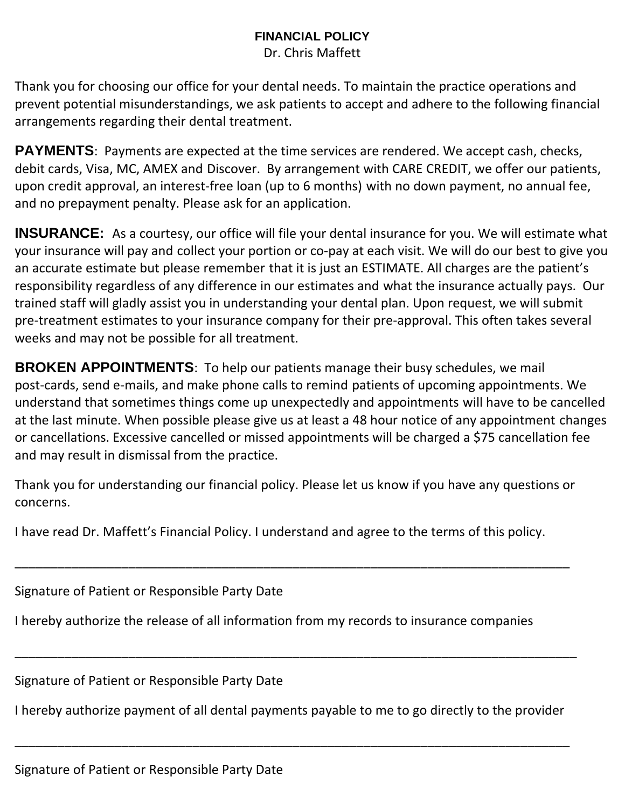## **FINANCIAL POLICY**

Dr. Chris Maffett

Thank you for choosing our office for your dental needs. To maintain the practice operations and prevent potential misunderstandings, we ask patients to accept and adhere to the following financial arrangements regarding their dental treatment.

**PAYMENTS**: Payments are expected at the time services are rendered. We accept cash, checks, debit cards, Visa, MC, AMEX and Discover. By arrangement with CARE CREDIT, we offer our patients, upon credit approval, an interest‐free loan (up to 6 months) with no down payment, no annual fee, and no prepayment penalty. Please ask for an application.

**INSURANCE:** As a courtesy, our office will file your dental insurance for you. We will estimate what your insurance will pay and collect your portion or co‐pay at each visit. We will do our best to give you an accurate estimate but please remember that it is just an ESTIMATE. All charges are the patient's responsibility regardless of any difference in our estimates and what the insurance actually pays. Our trained staff will gladly assist you in understanding your dental plan. Upon request, we will submit pre-treatment estimates to your insurance company for their pre-approval. This often takes several weeks and may not be possible for all treatment.

**BROKEN APPOINTMENTS:** To help our patients manage their busy schedules, we mail post‐cards, send e‐mails, and make phone calls to remind patients of upcoming appointments. We understand that sometimes things come up unexpectedly and appointments will have to be cancelled at the last minute. When possible please give us at least a 48 hour notice of any appointment changes or cancellations. Excessive cancelled or missed appointments will be charged a \$75 cancellation fee and may result in dismissal from the practice.

Thank you for understanding our financial policy. Please let us know if you have any questions or concerns.

\_\_\_\_\_\_\_\_\_\_\_\_\_\_\_\_\_\_\_\_\_\_\_\_\_\_\_\_\_\_\_\_\_\_\_\_\_\_\_\_\_\_\_\_\_\_\_\_\_\_\_\_\_\_\_\_\_\_\_\_\_\_\_\_\_\_\_\_\_\_\_\_\_\_\_\_\_\_

I have read Dr. Maffett's Financial Policy. I understand and agree to the terms of this policy.

Signature of Patient or Responsible Party Date

I hereby authorize the release of all information from my records to insurance companies

Signature of Patient or Responsible Party Date

I hereby authorize payment of all dental payments payable to me to go directly to the provider

\_\_\_\_\_\_\_\_\_\_\_\_\_\_\_\_\_\_\_\_\_\_\_\_\_\_\_\_\_\_\_\_\_\_\_\_\_\_\_\_\_\_\_\_\_\_\_\_\_\_\_\_\_\_\_\_\_\_\_\_\_\_\_\_\_\_\_\_\_\_\_\_\_\_\_\_\_\_

\_\_\_\_\_\_\_\_\_\_\_\_\_\_\_\_\_\_\_\_\_\_\_\_\_\_\_\_\_\_\_\_\_\_\_\_\_\_\_\_\_\_\_\_\_\_\_\_\_\_\_\_\_\_\_\_\_\_\_\_\_\_\_\_\_\_\_\_\_\_\_\_\_\_\_\_\_\_\_